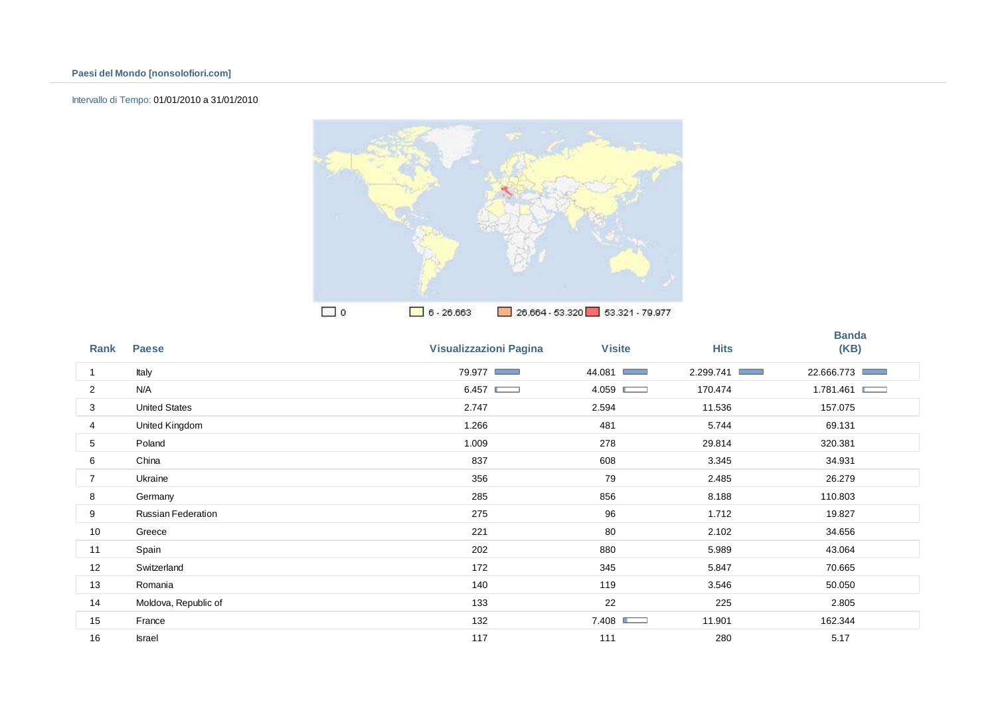# Intervallo di Tempo: 01/01/2010 a 31/01/2010



| Rank           | <b>Paese</b>              | <b>Visualizzazioni Pagina</b> | <b>Visite</b> | <b>Hits</b>       | <b>Banda</b><br>(KB) |
|----------------|---------------------------|-------------------------------|---------------|-------------------|----------------------|
| $\mathbf{1}$   | Italy                     | 79.977                        | 44.081        | 2.299.741<br>a an | 22.666.773           |
| $\overline{2}$ | N/A                       | 6.457                         | 4.059         | 170.474           | 1.781.461 ■          |
| 3              | <b>United States</b>      | 2.747                         | 2.594         | 11.536            | 157.075              |
| 4              | United Kingdom            | 1.266                         | 481           | 5.744             | 69.131               |
| 5              | Poland                    | 1.009                         | 278           | 29.814            | 320.381              |
| 6              | China                     | 837                           | 608           | 3.345             | 34.931               |
| 7              | Ukraine                   | 356                           | 79            | 2.485             | 26.279               |
| 8              | Germany                   | 285                           | 856           | 8.188             | 110.803              |
| 9              | <b>Russian Federation</b> | 275                           | 96            | 1.712             | 19.827               |
| 10             | Greece                    | 221                           | 80            | 2.102             | 34.656               |
| 11             | Spain                     | 202                           | 880           | 5.989             | 43.064               |
| 12             | Switzerland               | 172                           | 345           | 5.847             | 70.665               |
| 13             | Romania                   | 140                           | 119           | 3.546             | 50.050               |
| 14             | Moldova, Republic of      | 133                           | 22            | 225               | 2.805                |
| 15             | France                    | 132                           | 7.408         | 11.901            | 162.344              |
| 16             | <b>Israel</b>             | 117                           | 111           | 280               | 5.17                 |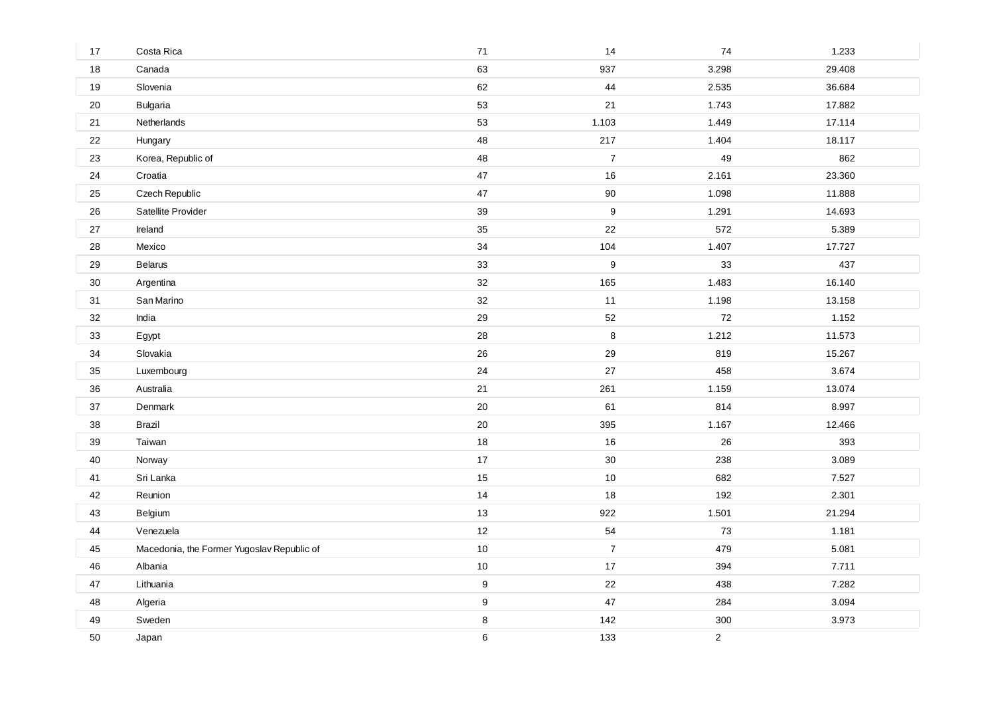| 17 | Costa Rica                                 | 71               | 14               | $74\,$         | 1.233  |
|----|--------------------------------------------|------------------|------------------|----------------|--------|
| 18 | Canada                                     | 63               | 937              | 3.298          | 29.408 |
| 19 | Slovenia                                   | 62               | 44               | 2.535          | 36.684 |
| 20 | <b>Bulgaria</b>                            | 53               | 21               | 1.743          | 17.882 |
| 21 | Netherlands                                | 53               | 1.103            | 1.449          | 17.114 |
| 22 | Hungary                                    | 48               | 217              | 1.404          | 18.117 |
| 23 | Korea, Republic of                         | 48               | $\overline{7}$   | 49             | 862    |
| 24 | Croatia                                    | 47               | 16               | 2.161          | 23.360 |
| 25 | Czech Republic                             | $47\,$           | $90\,$           | 1.098          | 11.888 |
| 26 | Satellite Provider                         | 39               | $\boldsymbol{9}$ | 1.291          | 14.693 |
| 27 | Ireland                                    | 35               | 22               | 572            | 5.389  |
| 28 | Mexico                                     | 34               | 104              | 1.407          | 17.727 |
| 29 | <b>Belarus</b>                             | 33               | $\boldsymbol{9}$ | 33             | 437    |
| 30 | Argentina                                  | 32               | 165              | 1.483          | 16.140 |
| 31 | San Marino                                 | 32               | 11               | 1.198          | 13.158 |
| 32 | India                                      | 29               | 52               | 72             | 1.152  |
| 33 | Egypt                                      | 28               | 8                | 1.212          | 11.573 |
| 34 | Slovakia                                   | 26               | 29               | 819            | 15.267 |
| 35 | Luxembourg                                 | 24               | 27               | 458            | 3.674  |
| 36 | Australia                                  | 21               | 261              | 1.159          | 13.074 |
| 37 | Denmark                                    | $20\,$           | 61               | 814            | 8.997  |
| 38 | Brazil                                     | 20               | 395              | 1.167          | 12.466 |
| 39 | Taiwan                                     | 18               | 16               | 26             | 393    |
| 40 | Norway                                     | $17$             | $30\,$           | 238            | 3.089  |
| 41 | Sri Lanka                                  | 15               | 10               | 682            | 7.527  |
| 42 | Reunion                                    | 14               | 18               | 192            | 2.301  |
| 43 | Belgium                                    | 13               | 922              | 1.501          | 21.294 |
| 44 | Venezuela                                  | 12               | 54               | 73             | 1.181  |
| 45 | Macedonia, the Former Yugoslav Republic of | $10$             | $\overline{7}$   | 479            | 5.081  |
| 46 | Albania                                    | $10\,$           | 17               | 394            | 7.711  |
| 47 | Lithuania                                  | 9                | 22               | 438            | 7.282  |
| 48 | Algeria                                    | $\boldsymbol{9}$ | 47               | 284            | 3.094  |
| 49 | Sweden                                     | $\bf 8$          | 142              | 300            | 3.973  |
| 50 | Japan                                      | 6                | 133              | $\overline{2}$ |        |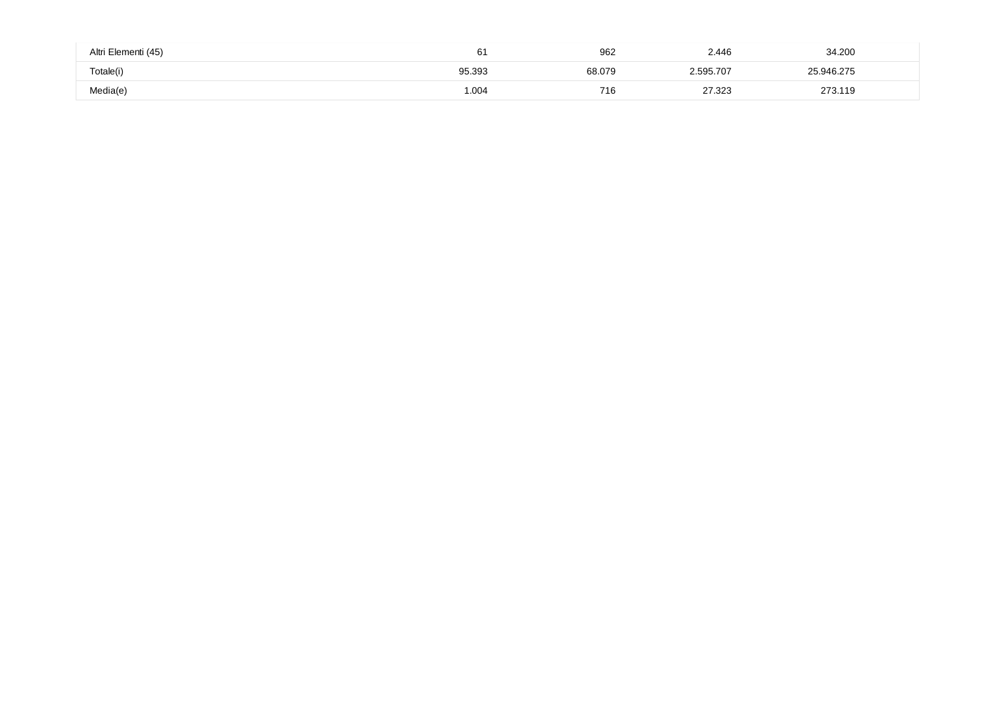| Altri Elementi (45) |        | 962    | 2.446     | 34.200     |  |
|---------------------|--------|--------|-----------|------------|--|
| Totale(i)           | 95.393 | 68.079 | 2.595.707 | 25.946.275 |  |
| Media(e)            | 1.004  | 716    | 27.323    | 273.119    |  |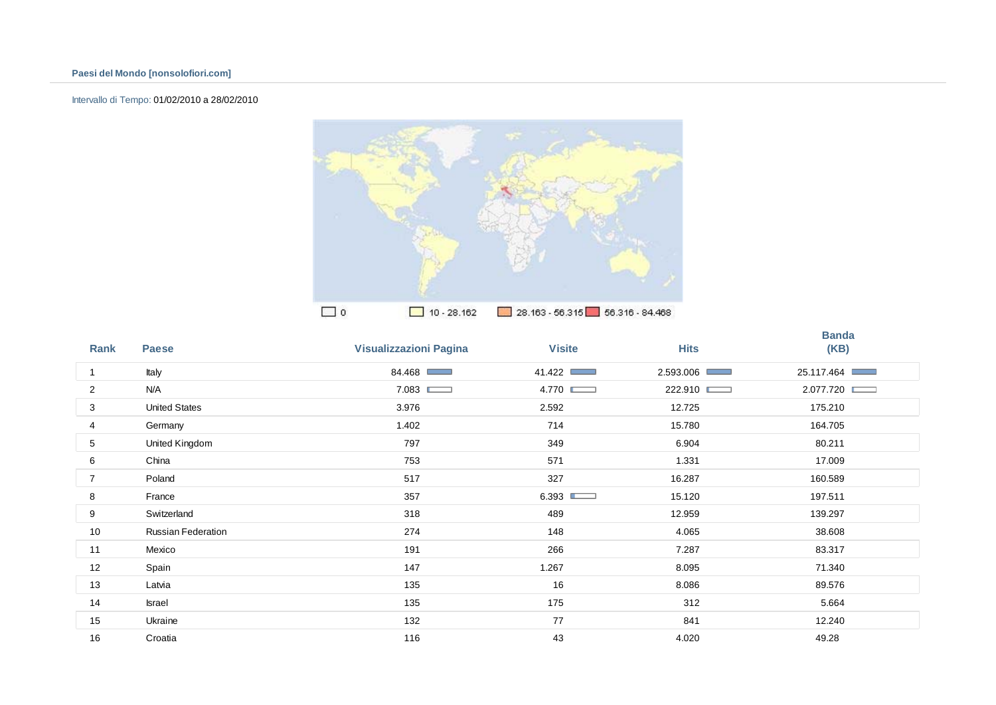# Intervallo di Tempo: 01/02/2010 a 28/02/2010



| Rank | <b>Paese</b>              | <b>Visualizzazioni Pagina</b> | <b>Visite</b>               | <b>Hits</b>                  | <b>Banda</b><br>(KB) |
|------|---------------------------|-------------------------------|-----------------------------|------------------------------|----------------------|
| 1    | Italy                     | 84.468                        | 41.422 □<br><b>Contract</b> | 2.593.006<br><b>Contract</b> | 25.117.464           |
| 2    | N/A                       | 7.083                         | 4.770                       | 222.910                      | 2.077.720            |
| 3    | <b>United States</b>      | 3.976                         | 2.592                       | 12.725                       | 175.210              |
| 4    | Germany                   | 1.402                         | 714                         | 15.780                       | 164.705              |
| 5    | United Kingdom            | 797                           | 349                         | 6.904                        | 80.211               |
| 6    | China                     | 753                           | 571                         | 1.331                        | 17.009               |
| 7    | Poland                    | 517                           | 327                         | 16.287                       | 160.589              |
| 8    | France                    | 357                           | 6.393                       | 15.120                       | 197.511              |
| 9    | Switzerland               | 318                           | 489                         | 12.959                       | 139.297              |
| 10   | <b>Russian Federation</b> | 274                           | 148                         | 4.065                        | 38.608               |
| 11   | Mexico                    | 191                           | 266                         | 7.287                        | 83.317               |
| 12   | Spain                     | 147                           | 1.267                       | 8.095                        | 71.340               |
| 13   | Latvia                    | 135                           | 16                          | 8.086                        | 89.576               |
| 14   | Israel                    | 135                           | 175                         | 312                          | 5.664                |
| 15   | Ukraine                   | 132                           | 77                          | 841                          | 12.240               |
| 16   | Croatia                   | 116                           | 43                          | 4.020                        | 49.28                |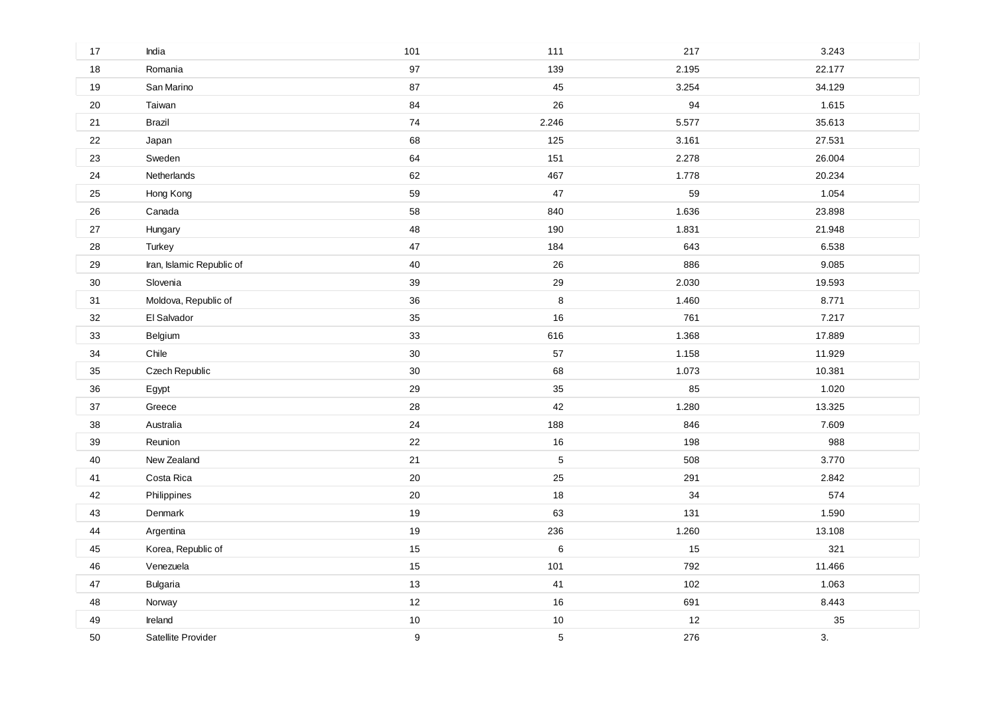| 17     | India                     | 101    | 111   | 217   | 3.243  |
|--------|---------------------------|--------|-------|-------|--------|
| 18     | Romania                   | 97     | 139   | 2.195 | 22.177 |
| $19$   | San Marino                | 87     | 45    | 3.254 | 34.129 |
| 20     | Taiwan                    | 84     | 26    | 94    | 1.615  |
| 21     | Brazil                    | 74     | 2.246 | 5.577 | 35.613 |
| 22     | Japan                     | 68     | 125   | 3.161 | 27.531 |
| 23     | Sweden                    | 64     | 151   | 2.278 | 26.004 |
| 24     | Netherlands               | 62     | 467   | 1.778 | 20.234 |
| 25     | Hong Kong                 | 59     | 47    | 59    | 1.054  |
| 26     | Canada                    | 58     | 840   | 1.636 | 23.898 |
| 27     | Hungary                   | 48     | 190   | 1.831 | 21.948 |
| 28     | Turkey                    | 47     | 184   | 643   | 6.538  |
| 29     | Iran, Islamic Republic of | 40     | 26    | 886   | 9.085  |
| $30\,$ | Slovenia                  | 39     | 29    | 2.030 | 19.593 |
| 31     | Moldova, Republic of      | 36     | 8     | 1.460 | 8.771  |
| 32     | El Salvador               | 35     | 16    | 761   | 7.217  |
| 33     | Belgium                   | 33     | 616   | 1.368 | 17.889 |
| 34     | Chile                     | 30     | 57    | 1.158 | 11.929 |
| 35     | Czech Republic            | $30\,$ | 68    | 1.073 | 10.381 |
| 36     | Egypt                     | 29     | 35    | 85    | 1.020  |
| 37     | Greece                    | 28     | 42    | 1.280 | 13.325 |
| 38     | Australia                 | 24     | 188   | 846   | 7.609  |
| 39     | Reunion                   | 22     | 16    | 198   | 988    |
| $40\,$ | New Zealand               | 21     | 5     | 508   | 3.770  |
| 41     | Costa Rica                | 20     | 25    | 291   | 2.842  |
| 42     | Philippines               | 20     | 18    | 34    | 574    |
| 43     | Denmark                   | 19     | 63    | 131   | 1.590  |
| 44     | Argentina                 | 19     | 236   | 1.260 | 13.108 |
| 45     | Korea, Republic of        | 15     | $\,6$ | 15    | 321    |
| 46     | Venezuela                 | 15     | 101   | 792   | 11.466 |
| 47     | <b>Bulgaria</b>           | 13     | 41    | 102   | 1.063  |
| 48     | Norway                    | 12     | 16    | 691   | 8.443  |
| 49     | Ireland                   | $10$   | $10$  | 12    | 35     |
| 50     | Satellite Provider        | 9      | 5     | 276   | 3.     |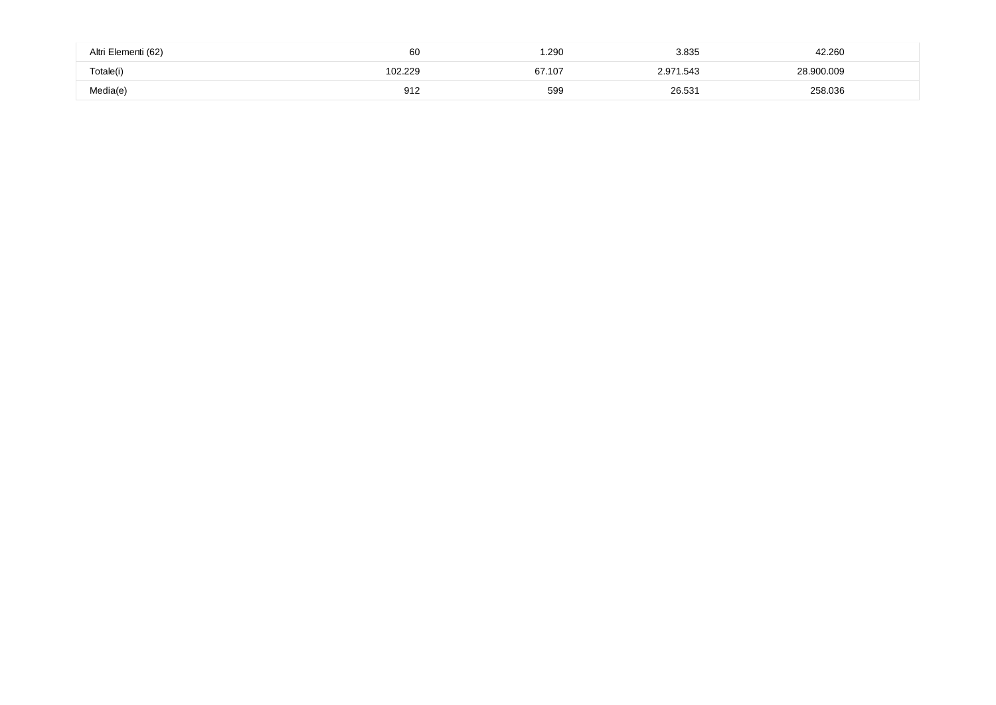| Altri Elementi (62) | 60      | .290   | 3.835     | 42.260     |  |
|---------------------|---------|--------|-----------|------------|--|
| Totale(i)           | '02.229 | 67.107 | 2.971.543 | 28.900.009 |  |
| Media(e)            | 912     | 599    | 26.531    | 258.036    |  |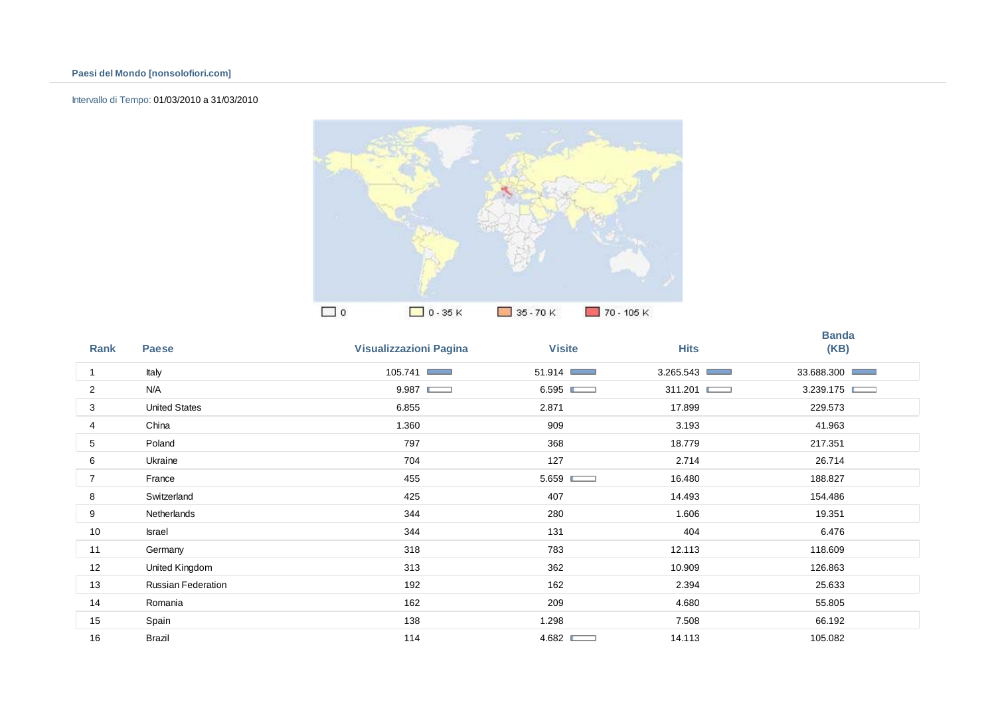#### Intervallo di Tempo: 01/03/2010 a 31/03/2010



| Rank           | <b>Paese</b>         | <b>Visualizzazioni Pagina</b> | <b>Visite</b>              | <b>Hits</b>                  | <b>Banda</b><br>(KB) |
|----------------|----------------------|-------------------------------|----------------------------|------------------------------|----------------------|
| 1              | Italy                | 105.741                       | 51.914 ■<br><b>COLLECT</b> | 3.265.543<br><b>Contract</b> | 33.688.300           |
| $\overline{c}$ | N/A                  | 9.987                         | 6.595<br>$\sim$            | 311.201                      | 3.239.175            |
| 3              | <b>United States</b> | 6.855                         | 2.871                      | 17.899                       | 229.573              |
| 4              | China                | 1.360                         | 909                        | 3.193                        | 41.963               |
| 5              | Poland               | 797                           | 368                        | 18.779                       | 217.351              |
| 6              | Ukraine              | 704                           | 127                        | 2.714                        | 26.714               |
| $\overline{7}$ | France               | 455                           | 5.659                      | 16.480                       | 188.827              |
| 8              | Switzerland          | 425                           | 407                        | 14.493                       | 154.486              |
| 9              | Netherlands          | 344                           | 280                        | 1.606                        | 19.351               |
| 10             | Israel               | 344                           | 131                        | 404                          | 6.476                |
| 11             | Germany              | 318                           | 783                        | 12.113                       | 118.609              |
| 12             | United Kingdom       | 313                           | 362                        | 10.909                       | 126.863              |
| 13             | Russian Federation   | 192                           | 162                        | 2.394                        | 25.633               |
| 14             | Romania              | 162                           | 209                        | 4.680                        | 55.805               |
| 15             | Spain                | 138                           | 1.298                      | 7.508                        | 66.192               |
| 16             | <b>Brazil</b>        | 114                           | 4.682                      | 14.113                       | 105.082              |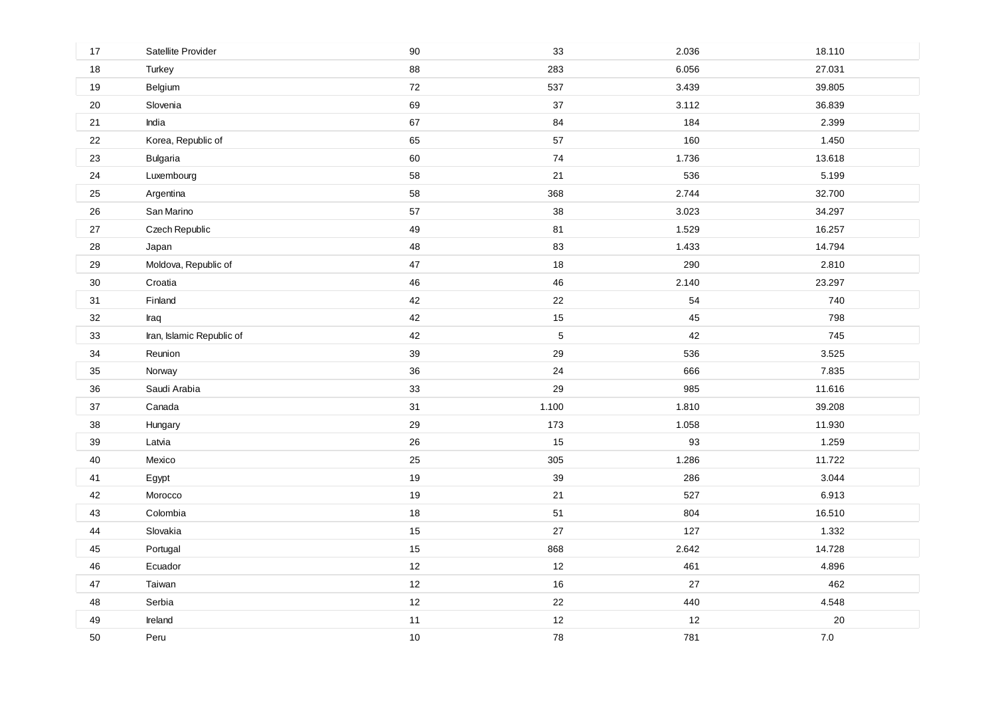| 17     | Satellite Provider        | 90   | 33    | 2.036 | 18.110 |
|--------|---------------------------|------|-------|-------|--------|
| 18     | Turkey                    | 88   | 283   | 6.056 | 27.031 |
| $19$   | Belgium                   | 72   | 537   | 3.439 | 39.805 |
| 20     | Slovenia                  | 69   | 37    | 3.112 | 36.839 |
| 21     | India                     | 67   | 84    | 184   | 2.399  |
| 22     | Korea, Republic of        | 65   | 57    | 160   | 1.450  |
| 23     | Bulgaria                  | 60   | 74    | 1.736 | 13.618 |
| 24     | Luxembourg                | 58   | 21    | 536   | 5.199  |
| 25     | Argentina                 | 58   | 368   | 2.744 | 32.700 |
| 26     | San Marino                | 57   | 38    | 3.023 | 34.297 |
| 27     | Czech Republic            | 49   | 81    | 1.529 | 16.257 |
| 28     | Japan                     | 48   | 83    | 1.433 | 14.794 |
| 29     | Moldova, Republic of      | 47   | 18    | 290   | 2.810  |
| $30\,$ | Croatia                   | 46   | 46    | 2.140 | 23.297 |
| 31     | Finland                   | 42   | 22    | 54    | 740    |
| 32     | Iraq                      | 42   | 15    | 45    | 798    |
| 33     | Iran, Islamic Republic of | 42   | 5     | 42    | 745    |
| 34     | Reunion                   | 39   | 29    | 536   | 3.525  |
| 35     | Norway                    | 36   | 24    | 666   | 7.835  |
| 36     | Saudi Arabia              | 33   | 29    | 985   | 11.616 |
| 37     | Canada                    | 31   | 1.100 | 1.810 | 39.208 |
| 38     | Hungary                   | 29   | 173   | 1.058 | 11.930 |
| 39     | Latvia                    | 26   | 15    | 93    | 1.259  |
| $40\,$ | Mexico                    | 25   | 305   | 1.286 | 11.722 |
| 41     | Egypt                     | 19   | 39    | 286   | 3.044  |
| 42     | Morocco                   | 19   | 21    | 527   | 6.913  |
| 43     | Colombia                  | 18   | 51    | 804   | 16.510 |
| 44     | Slovakia                  | 15   | 27    | 127   | 1.332  |
| 45     | Portugal                  | 15   | 868   | 2.642 | 14.728 |
| 46     | Ecuador                   | 12   | 12    | 461   | 4.896  |
| 47     | Taiwan                    | 12   | 16    | 27    | 462    |
| 48     | Serbia                    | 12   | 22    | 440   | 4.548  |
| 49     | Ireland                   | 11   | 12    | 12    | $20\,$ |
| 50     | Peru                      | $10$ | 78    | 781   | $7.0$  |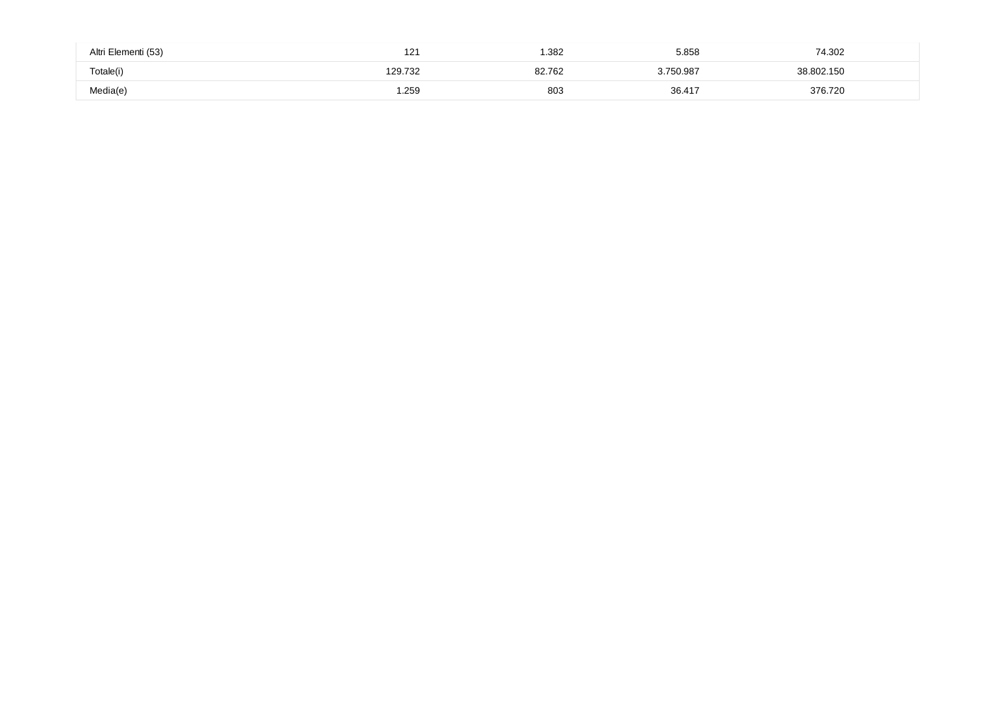| Altri Elementi (53) | 121     | .382   | 5.858     | 74.302     |
|---------------------|---------|--------|-----------|------------|
| Totale(i)           | 129.732 | 32.762 | 3.750.987 | 38.802.150 |
| Media(e)            | .259    | 803    | 36.417    | 376.720    |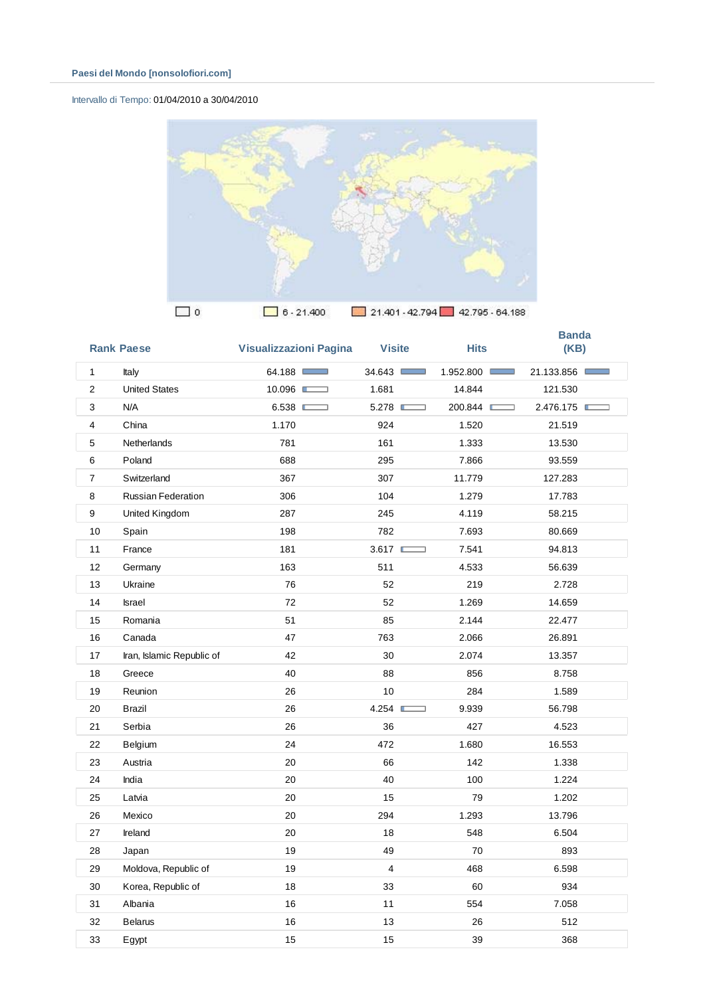# Intervallo di Tempo: 01/04/2010 a 30/04/2010



|                | <b>Rank Paese</b>         | <b>Visualizzazioni Pagina</b> | <b>Visite</b>                     | <b>Hits</b> | <b>Banda</b><br>(KB) |
|----------------|---------------------------|-------------------------------|-----------------------------------|-------------|----------------------|
| $\mathbf{1}$   | Italy                     | 64.188                        | 34.643                            | 1.952.800   | 21.133.856           |
| $\overline{2}$ | <b>United States</b>      | 10.096                        | 1.681                             | 14.844      | 121.530              |
| 3              | N/A                       | 6.538                         | 5.278                             | 200.844     | 2.476.175            |
| 4              | China                     | 1.170                         | 924                               | 1.520       | 21.519               |
| 5              | Netherlands               | 781                           | 161                               | 1.333       | 13.530               |
| 6              | Poland                    | 688                           | 295                               | 7.866       | 93.559               |
| $\overline{7}$ | Switzerland               | 367                           | 307                               | 11.779      | 127.283              |
| 8              | <b>Russian Federation</b> | 306                           | 104                               | 1.279       | 17.783               |
| 9              | United Kingdom            | 287                           | 245                               | 4.119       | 58.215               |
| 10             | Spain                     | 198                           | 782                               | 7.693       | 80.669               |
| 11             | France                    | 181                           | 3.617<br>$\overline{\phantom{0}}$ | 7.541       | 94.813               |
| 12             | Germany                   | 163                           | 511                               | 4.533       | 56.639               |
| 13             | Ukraine                   | 76                            | 52                                | 219         | 2.728                |
| 14             | Israel                    | 72                            | 52                                | 1.269       | 14.659               |
| 15             | Romania                   | 51                            | 85                                | 2.144       | 22.477               |
| 16             | Canada                    | 47                            | 763                               | 2.066       | 26.891               |
| 17             | Iran, Islamic Republic of | 42                            | 30                                | 2.074       | 13.357               |
| 18             | Greece                    | 40                            | 88                                | 856         | 8.758                |
| 19             | Reunion                   | 26                            | 10                                | 284         | 1.589                |
| 20             | Brazil                    | 26                            | 4.254<br>a a                      | 9.939       | 56.798               |
| 21             | Serbia                    | 26                            | 36                                | 427         | 4.523                |
| 22             | Belgium                   | 24                            | 472                               | 1.680       | 16.553               |
| 23             | Austria                   | 20                            | 66                                | 142         | 1.338                |
| 24             | India                     | 20                            | 40                                | 100         | 1.224                |
| 25             | Latvia                    | 20                            | 15                                | 79          | 1.202                |
| 26             | Mexico                    | 20                            | 294                               | 1.293       | 13.796               |
| 27             | Ireland                   | 20                            | 18                                | 548         | 6.504                |
| 28             | Japan                     | 19                            | 49                                | 70          | 893                  |
| 29             | Moldova, Republic of      | 19                            | $\overline{\mathbf{4}}$           | 468         | 6.598                |
| 30             | Korea, Republic of        | 18                            | 33                                | 60          | 934                  |
| 31             | Albania                   | 16                            | 11                                | 554         | 7.058                |
| 32             | <b>Belarus</b>            | 16                            | 13                                | 26          | 512                  |
| 33             | Egypt                     | 15                            | 15                                | 39          | 368                  |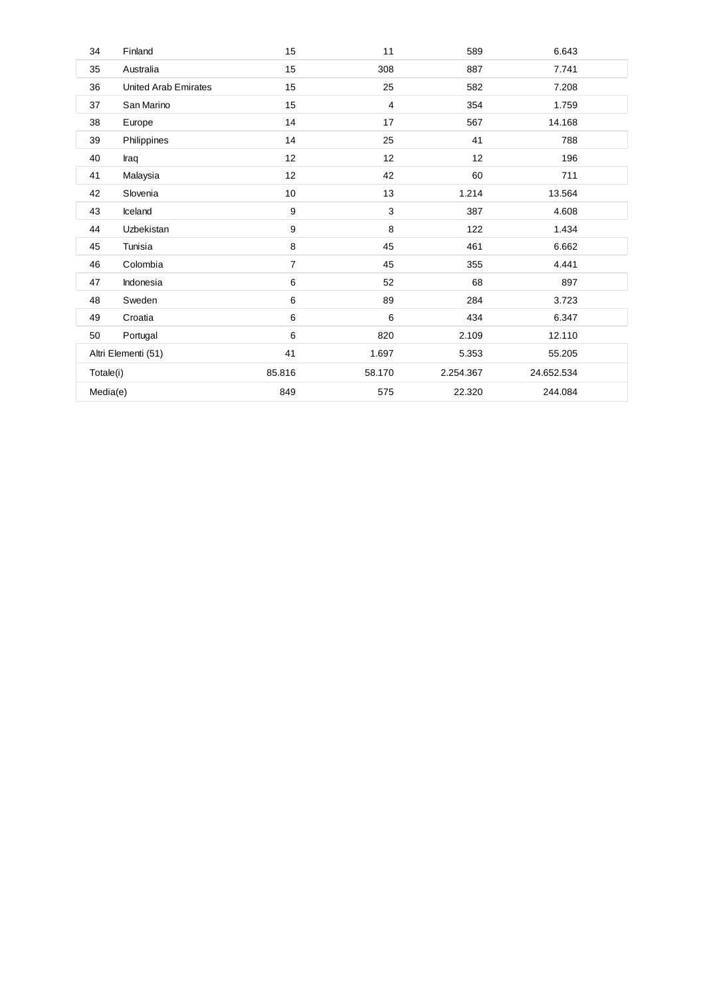| 34       | Finland                     | 15             | 11     | 589       | 6.643      |  |
|----------|-----------------------------|----------------|--------|-----------|------------|--|
| 35       | Australia                   | 15             | 308    | 887       | 7.741      |  |
| 36       | <b>United Arab Emirates</b> | 15             | 25     | 582       | 7.208      |  |
| 37       | San Marino                  | 15             | 4      | 354       | 1.759      |  |
| 38       | Europe                      | 14             | 17     | 567       | 14.168     |  |
| 39       | Philippines                 | 14             | 25     | 41        | 788        |  |
| 40       | Iraq                        | 12             | 12     | 12        | 196        |  |
| 41       | Malaysia                    | 12             | 42     | 60        | 711        |  |
| 42       | Slovenia                    | 10             | 13     | 1.214     | 13.564     |  |
| 43       | Iceland                     | 9              | 3      | 387       | 4.608      |  |
| 44       | Uzbekistan                  | 9              | 8      | 122       | 1.434      |  |
| 45       | Tunisia                     | 8              | 45     | 461       | 6.662      |  |
| 46       | Colombia                    | $\overline{7}$ | 45     | 355       | 4.441      |  |
| 47       | Indonesia                   | 6              | 52     | 68        | 897        |  |
| 48       | Sweden                      | 6              | 89     | 284       | 3.723      |  |
| 49       | Croatia                     | 6              | 6      | 434       | 6.347      |  |
| 50       | Portugal                    | 6              | 820    | 2.109     | 12.110     |  |
|          | Altri Elementi (51)         |                | 1.697  | 5.353     | 55.205     |  |
|          | Totale(i)                   |                | 58.170 | 2.254.367 | 24.652.534 |  |
| Media(e) |                             | 849            | 575    | 22.320    | 244.084    |  |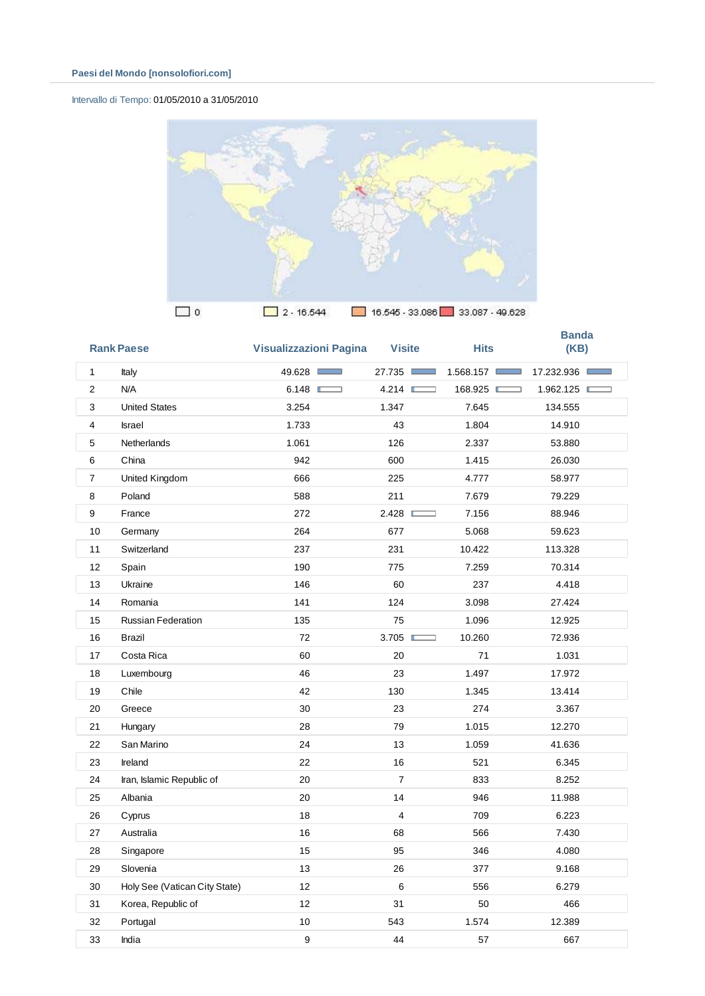#### Intervallo di Tempo: 01/05/2010 a 31/05/2010



|                | <b>Rank Paese</b>             | <b>Visualizzazioni Pagina</b> | <b>Visite</b>  | <b>Hits</b>                  | <b>Banda</b><br>(KB) |
|----------------|-------------------------------|-------------------------------|----------------|------------------------------|----------------------|
| 1              | Italy                         | 49.628                        | 27.735         | 1.568.157<br><b>Contract</b> | 17.232.936           |
| $\overline{2}$ | N/A                           | 6.148                         | 4.214          | 168.925                      | 1.962.125            |
| 3              | <b>United States</b>          | 3.254                         | 1.347          | 7.645                        | 134.555              |
| $\overline{4}$ | <b>Israel</b>                 | 1.733                         | 43             | 1.804                        | 14.910               |
| 5              | <b>Netherlands</b>            | 1.061                         | 126            | 2.337                        | 53.880               |
| 6              | China                         | 942                           | 600            | 1.415                        | 26.030               |
| 7              | United Kingdom                | 666                           | 225            | 4.777                        | 58.977               |
| 8              | Poland                        | 588                           | 211            | 7.679                        | 79.229               |
| 9              | France                        | 272                           | 2.428          | 7.156                        | 88.946               |
| 10             | Germany                       | 264                           | 677            | 5.068                        | 59.623               |
| 11             | Switzerland                   | 237                           | 231            | 10.422                       | 113.328              |
| 12             | Spain                         | 190                           | 775            | 7.259                        | 70.314               |
| 13             | Ukraine                       | 146                           | 60             | 237                          | 4.418                |
| 14             | Romania                       | 141                           | 124            | 3.098                        | 27.424               |
| 15             | <b>Russian Federation</b>     | 135                           | 75             | 1.096                        | 12.925               |
| 16             | <b>Brazil</b>                 | 72                            | 3.705          | 10.260                       | 72.936               |
| 17             | Costa Rica                    | 60                            | 20             | 71                           | 1.031                |
| 18             | Luxembourg                    | 46                            | 23             | 1.497                        | 17.972               |
| 19             | Chile                         | 42                            | 130            | 1.345                        | 13.414               |
| 20             | Greece                        | 30                            | 23             | 274                          | 3.367                |
| 21             | Hungary                       | 28                            | 79             | 1.015                        | 12.270               |
| 22             | San Marino                    | 24                            | 13             | 1.059                        | 41.636               |
| 23             | Ireland                       | 22                            | 16             | 521                          | 6.345                |
| 24             | Iran, Islamic Republic of     | 20                            | $\overline{7}$ | 833                          | 8.252                |
| 25             | Albania                       | 20                            | 14             | 946                          | 11.988               |
| 26             | Cyprus                        | 18                            | $\overline{4}$ | 709                          | 6.223                |
| 27             | Australia                     | 16                            | 68             | 566                          | 7.430                |
| 28             | Singapore                     | 15                            | 95             | 346                          | 4.080                |
| 29             | Slovenia                      | 13                            | 26             | 377                          | 9.168                |
| 30             | Holy See (Vatican City State) | 12                            | 6              | 556                          | 6.279                |
| 31             | Korea, Republic of            | 12                            | 31             | 50                           | 466                  |
| 32             | Portugal                      | 10                            | 543            | 1.574                        | 12.389               |
| 33             | India                         | 9                             | 44             | 57                           | 667                  |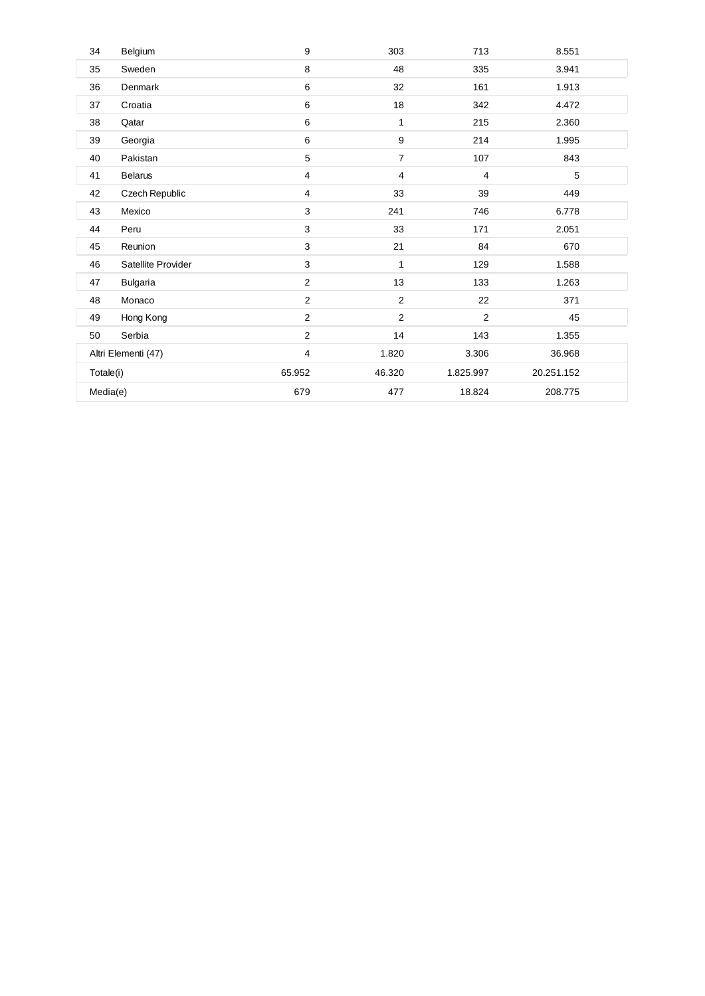| 34        | Belgium             | 9              | 303            | 713            | 8.551      |
|-----------|---------------------|----------------|----------------|----------------|------------|
| 35        | Sweden              | 8              | 48             | 335            | 3.941      |
| 36        | Denmark             | 6              | 32             | 161            | 1.913      |
| 37        | Croatia             | 6              | $18$           | 342            | 4.472      |
| 38        | Qatar               | 6              | 1              | 215            | 2.360      |
| 39        | Georgia             | 6              | 9              | 214            | 1.995      |
| 40        | Pakistan            | 5              | $\overline{7}$ | 107            | 843        |
| 41        | <b>Belarus</b>      | 4              | 4              | $\overline{4}$ | 5          |
| 42        | Czech Republic      | 4              | 33             | 39             | 449        |
| 43        | Mexico              | 3              | 241            | 746            | 6.778      |
| 44        | Peru                | 3              | 33             | 171            | 2.051      |
| 45        | Reunion             | 3              | 21             | 84             | 670        |
| 46        | Satellite Provider  | 3              | 1              | 129            | 1.588      |
| 47        | <b>Bulgaria</b>     | $\overline{2}$ | 13             | 133            | 1.263      |
| 48        | Monaco              | $\overline{2}$ | $\overline{2}$ | 22             | 371        |
| 49        | Hong Kong           | $\overline{2}$ | $\overline{2}$ | 2              | 45         |
| 50        | Serbia              | $\overline{2}$ | 14             | 143            | 1.355      |
|           | Altri Elementi (47) | 4              | 1.820          | 3.306          | 36.968     |
| Totale(i) |                     | 65.952         | 46.320         | 1.825.997      | 20.251.152 |
| Media(e)  |                     | 679            | 477            | 18.824         | 208.775    |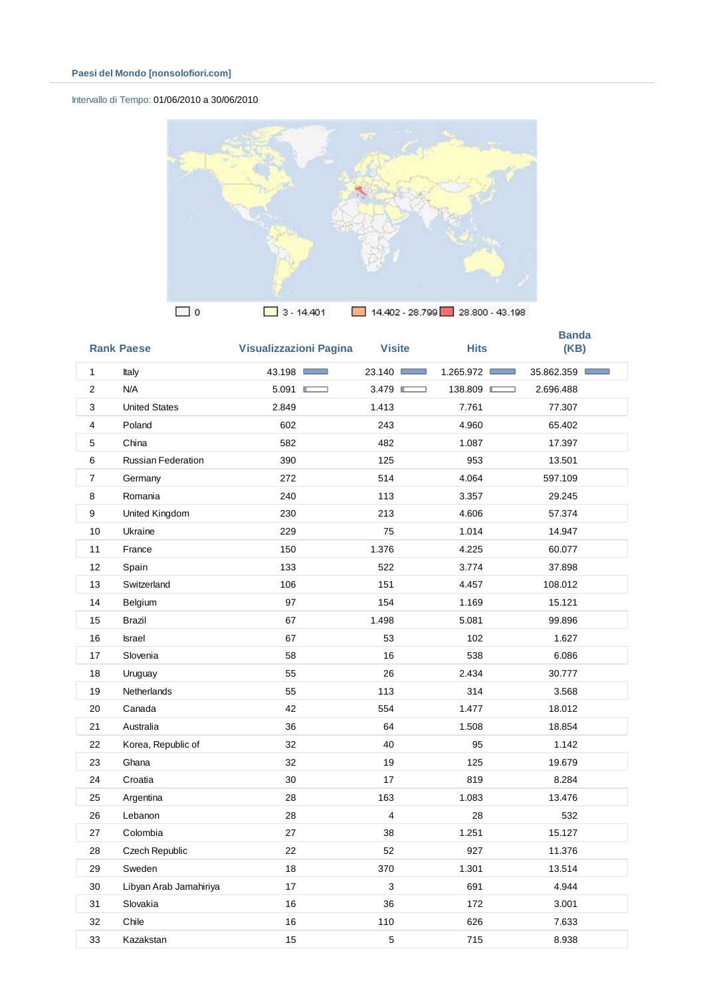# Intervallo di Tempo: 01/06/2010 a 30/06/2010



|                | <b>Rank Paese</b>      | <b>Visualizzazioni Pagina</b> | <b>Visite</b>  | <b>Hits</b> | <b>Banda</b><br>(KB) |
|----------------|------------------------|-------------------------------|----------------|-------------|----------------------|
| $\mathbf{1}$   | Italy                  | 43.198                        | 23.140         | 1.265.972   | 35.862.359           |
| $\overline{c}$ | N/A                    | 5.091                         | 3.479          | 138.809     | 2.696.488            |
| 3              | <b>United States</b>   | 2.849                         | 1.413          | 7.761       | 77.307               |
| 4              | Poland                 | 602                           | 243            | 4.960       | 65.402               |
| 5              | China                  | 582                           | 482            | 1.087       | 17.397               |
| 6              | Russian Federation     | 390                           | 125            | 953         | 13.501               |
| $\overline{7}$ | Germany                | 272                           | 514            | 4.064       | 597.109              |
| 8              | Romania                | 240                           | 113            | 3.357       | 29.245               |
| 9              | United Kingdom         | 230                           | 213            | 4.606       | 57.374               |
| 10             | Ukraine                | 229                           | 75             | 1.014       | 14.947               |
| 11             | France                 | 150                           | 1.376          | 4.225       | 60.077               |
| 12             | Spain                  | 133                           | 522            | 3.774       | 37.898               |
| 13             | Switzerland            | 106                           | 151            | 4.457       | 108.012              |
| 14             | Belgium                | 97                            | 154            | 1.169       | 15.121               |
| 15             | <b>Brazil</b>          | 67                            | 1.498          | 5.081       | 99.896               |
| 16             | <b>Israel</b>          | 67                            | 53             | 102         | 1.627                |
| 17             | Slovenia               | 58                            | 16             | 538         | 6.086                |
| 18             | Uruguay                | 55                            | 26             | 2.434       | 30.777               |
| 19             | <b>Netherlands</b>     | 55                            | 113            | 314         | 3.568                |
| 20             | Canada                 | 42                            | 554            | 1.477       | 18.012               |
| 21             | Australia              | 36                            | 64             | 1.508       | 18.854               |
| 22             | Korea, Republic of     | 32                            | 40             | 95          | 1.142                |
| 23             | Ghana                  | 32                            | 19             | 125         | 19.679               |
| 24             | Croatia                | 30                            | 17             | 819         | 8.284                |
| 25             | Argentina              | 28                            | 163            | 1.083       | 13.476               |
| 26             | Lebanon                | 28                            | $\overline{4}$ | 28          | 532                  |
| 27             | Colombia               | 27                            | 38             | 1.251       | 15.127               |
| 28             | Czech Republic         | 22                            | 52             | 927         | 11.376               |
| 29             | Sweden                 | 18                            | 370            | 1.301       | 13.514               |
| 30             | Libyan Arab Jamahiriya | 17                            | 3              | 691         | 4.944                |
| 31             | Slovakia               | 16                            | 36             | 172         | 3.001                |
| 32             | Chile                  | 16                            | 110            | 626         | 7.633                |
| 33             | Kazakstan              | 15                            | 5              | 715         | 8.938                |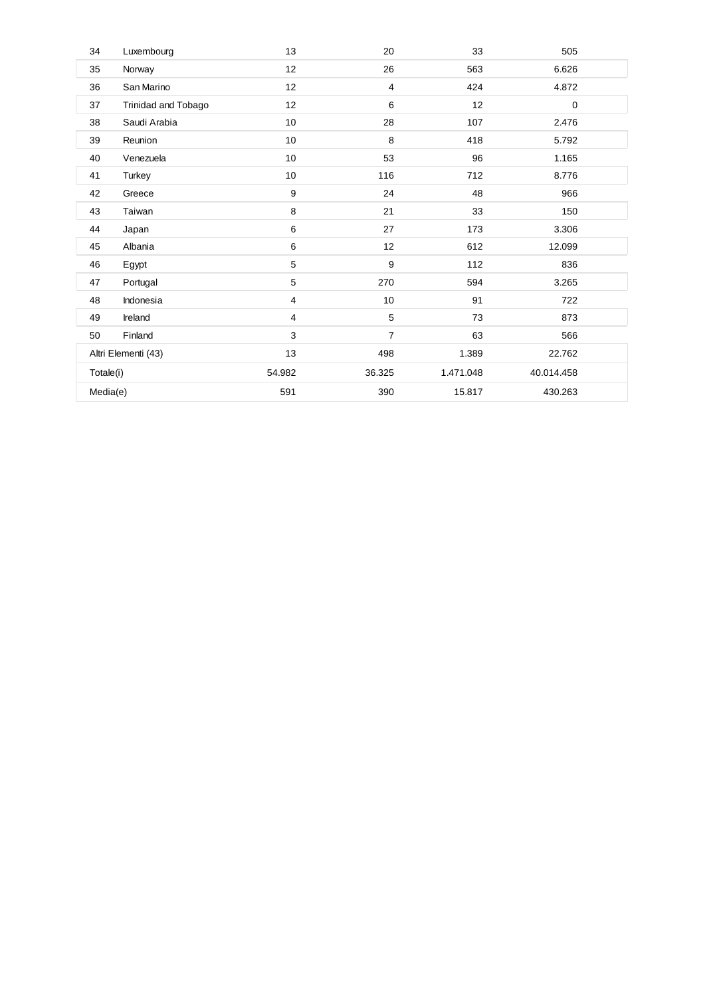| 34        | Luxembourg          | 13              | 20             | 33        | 505        |  |
|-----------|---------------------|-----------------|----------------|-----------|------------|--|
| 35        | Norway              | 12              | 26             | 563       | 6.626      |  |
| 36        | San Marino          | 12 <sup>2</sup> | 4              | 424       | 4.872      |  |
| 37        | Trinidad and Tobago | 12              | 6              | 12        | 0          |  |
| 38        | Saudi Arabia        | 10              | 28             | 107       | 2.476      |  |
| 39        | Reunion             | 10              | 8              | 418       | 5.792      |  |
| 40        | Venezuela           | 10              | 53             | 96        | 1.165      |  |
| 41        | Turkey              | 10              | 116            | 712       | 8.776      |  |
| 42        | Greece              | 9               | 24             | 48        | 966        |  |
| 43        | Taiwan              | 8               | 21             | 33        | 150        |  |
| 44        | Japan               | 6               | 27             | 173       | 3.306      |  |
| 45        | Albania             | 6               | 12             | 612       | 12.099     |  |
| 46        | Egypt               | 5               | 9              | 112       | 836        |  |
| 47        | Portugal            | 5               | 270            | 594       | 3.265      |  |
| 48        | Indonesia           | $\overline{4}$  | 10             | 91        | 722        |  |
| 49        | Ireland             | $\overline{4}$  | 5              | 73        | 873        |  |
| 50        | Finland             | 3               | $\overline{7}$ | 63        | 566        |  |
|           | Altri Elementi (43) | 13              | 498            | 1.389     | 22.762     |  |
| Totale(i) |                     | 54.982          | 36.325         | 1.471.048 | 40.014.458 |  |
| Media(e)  |                     | 591             | 390            | 15.817    | 430.263    |  |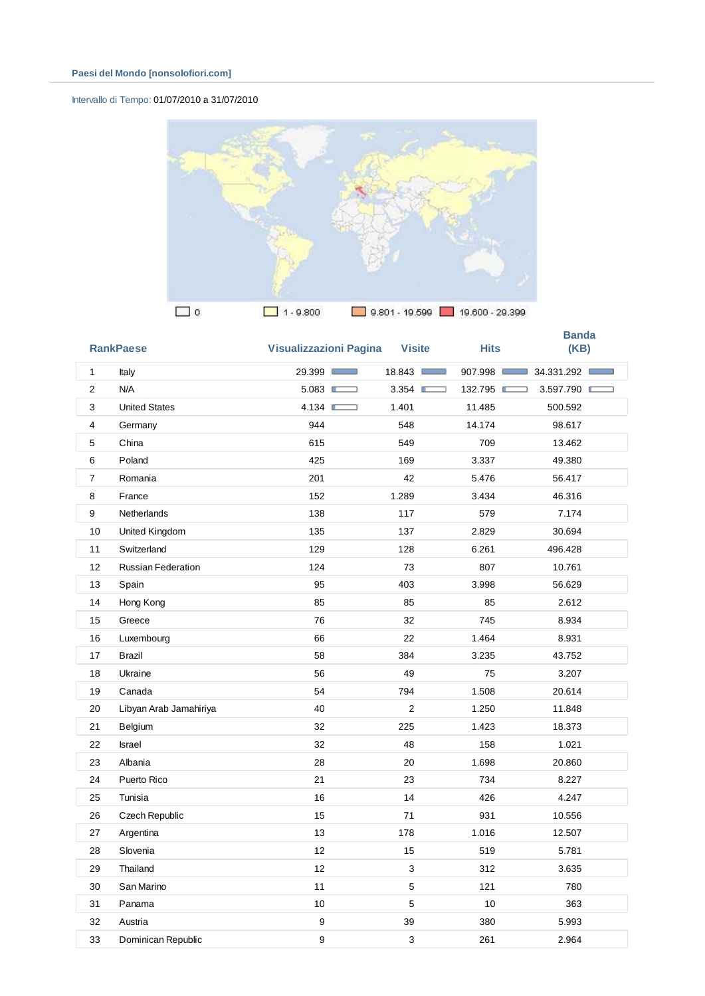# Intervallo di Tempo: 01/07/2010 a 31/07/2010



|                | <b>RankPaese</b>          | <b>Visualizzazioni Pagina</b> | <b>Visite</b>        | <b>Hits</b> | <b>Banda</b><br>(KB) |
|----------------|---------------------------|-------------------------------|----------------------|-------------|----------------------|
| $\mathbf{1}$   | Italy                     | 29.399 □                      | 18.843<br><b>COL</b> | 907.998     | 34.331.292           |
| $\overline{2}$ | N/A                       | 5.083                         | 3.354<br>⊐           | 132.795 ■   | 3.597.790            |
| 3              | <b>United States</b>      | 4.134                         | 1.401                | 11.485      | 500.592              |
| 4              | Germany                   | 944                           | 548                  | 14.174      | 98.617               |
| 5              | China                     | 615                           | 549                  | 709         | 13.462               |
| 6              | Poland                    | 425                           | 169                  | 3.337       | 49.380               |
| $\overline{7}$ | Romania                   | 201                           | 42                   | 5.476       | 56.417               |
| 8              | France                    | 152                           | 1.289                | 3.434       | 46.316               |
| 9              | <b>Netherlands</b>        | 138                           | 117                  | 579         | 7.174                |
| 10             | United Kingdom            | 135                           | 137                  | 2.829       | 30.694               |
| 11             | Switzerland               | 129                           | 128                  | 6.261       | 496.428              |
| 12             | <b>Russian Federation</b> | 124                           | 73                   | 807         | 10.761               |
| 13             | Spain                     | 95                            | 403                  | 3.998       | 56.629               |
| 14             | Hong Kong                 | 85                            | 85                   | 85          | 2.612                |
| 15             | Greece                    | 76                            | 32                   | 745         | 8.934                |
| 16             | Luxembourg                | 66                            | 22                   | 1.464       | 8.931                |
| 17             | Brazil                    | 58                            | 384                  | 3.235       | 43.752               |
| 18             | Ukraine                   | 56                            | 49                   | 75          | 3.207                |
| 19             | Canada                    | 54                            | 794                  | 1.508       | 20.614               |
| 20             | Libyan Arab Jamahiriya    | 40                            | $\overline{2}$       | 1.250       | 11.848               |
| 21             | Belgium                   | 32                            | 225                  | 1.423       | 18.373               |
| 22             | <b>Israel</b>             | 32                            | 48                   | 158         | 1.021                |
| 23             | Albania                   | 28                            | 20                   | 1.698       | 20.860               |
| 24             | Puerto Rico               | 21                            | 23                   | 734         | 8.227                |
| 25             | Tunisia                   | 16                            | 14                   | 426         | 4.247                |
| 26             | Czech Republic            | 15                            | 71                   | 931         | 10.556               |
| 27             | Argentina                 | 13                            | 178                  | 1.016       | 12.507               |
| 28             | Slovenia                  | 12                            | 15                   | 519         | 5.781                |
| 29             | Thailand                  | 12                            | 3                    | 312         | 3.635                |
| 30             | San Marino                | 11                            | 5                    | 121         | 780                  |
| 31             | Panama                    | 10                            | 5                    | 10          | 363                  |
| 32             | Austria                   | 9                             | 39                   | 380         | 5.993                |
| 33             | Dominican Republic        | 9                             | 3                    | 261         | 2.964                |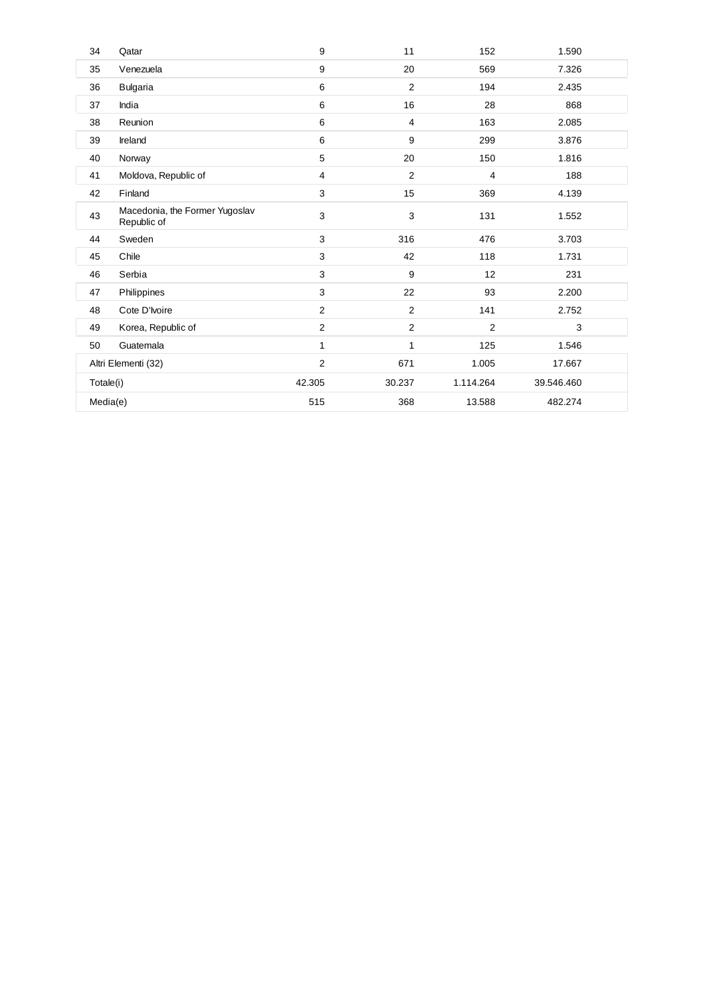| 34        | Qatar                                         | 9              | 11             | 152            | 1.590      |
|-----------|-----------------------------------------------|----------------|----------------|----------------|------------|
| 35        | Venezuela                                     | 9              | 20             | 569            | 7.326      |
| 36        | <b>Bulgaria</b>                               | 6              | 2              | 194            | 2.435      |
| 37        | India                                         | 6              | 16             | 28             | 868        |
| 38        | Reunion                                       | 6              | $\overline{4}$ | 163            | 2.085      |
| 39        | Ireland                                       | 6              | 9              | 299            | 3.876      |
| 40        | Norway                                        | 5              | 20             | 150            | 1.816      |
| 41        | Moldova, Republic of                          | 4              | 2              | 4              | 188        |
| 42        | Finland                                       | 3              | 15             | 369            | 4.139      |
| 43        | Macedonia, the Former Yugoslav<br>Republic of | 3              | 3              | 131            | 1.552      |
| 44        | Sweden                                        | 3              | 316            | 476            | 3.703      |
| 45        | Chile                                         | 3              | 42             | 118            | 1.731      |
| 46        | Serbia                                        | 3              | 9              | 12             | 231        |
| 47        | Philippines                                   | 3              | 22             | 93             | 2.200      |
| 48        | Cote D'Ivoire                                 | $\overline{2}$ | $\mathbf{2}$   | 141            | 2.752      |
| 49        | Korea, Republic of                            | $\overline{2}$ | $\mathbf{2}$   | $\overline{2}$ | 3          |
| 50        | Guatemala                                     | 1              | 1              | 125            | 1.546      |
|           | Altri Elementi (32)                           | $\overline{2}$ | 671            | 1.005          | 17.667     |
| Totale(i) |                                               | 42.305         | 30.237         | 1.114.264      | 39.546.460 |
| Media(e)  |                                               | 515            | 368            | 13.588         | 482.274    |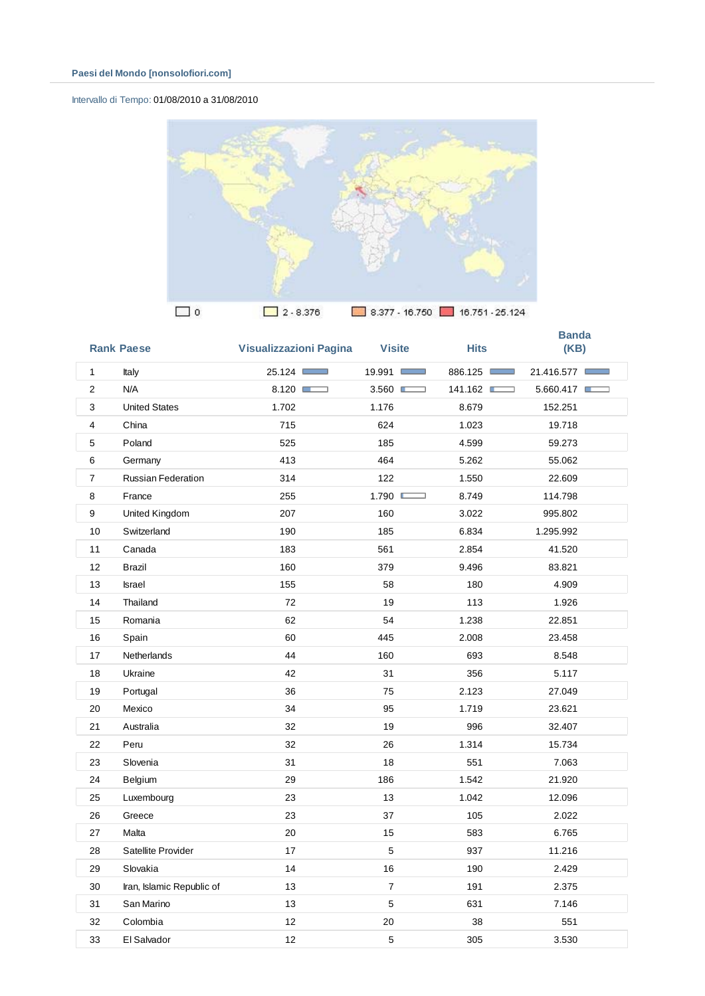# Intervallo di Tempo: 01/08/2010 a 31/08/2010



|                         | <b>Rank Paese</b>         | <b>Visualizzazioni Pagina</b> | <b>Visite</b>    | <b>Hits</b> | <b>Banda</b><br>(KB) |
|-------------------------|---------------------------|-------------------------------|------------------|-------------|----------------------|
| $\mathbf{1}$            | Italy                     | 25.124                        | 19.991           | 886.125     | 21.416.577           |
| $\overline{\mathbf{c}}$ | N/A                       | 8.120                         | 3.560            | 141.162     | 5.660.417            |
| 3                       | <b>United States</b>      | 1.702                         | 1.176            | 8.679       | 152.251              |
| 4                       | China                     | 715                           | 624              | 1.023       | 19.718               |
| 5                       | Poland                    | 525                           | 185              | 4.599       | 59.273               |
| 6                       | Germany                   | 413                           | 464              | 5.262       | 55.062               |
| $\overline{7}$          | <b>Russian Federation</b> | 314                           | 122              | 1.550       | 22.609               |
| 8                       | France                    | 255                           | 1.790            | 8.749       | 114.798              |
| 9                       | United Kingdom            | 207                           | 160              | 3.022       | 995.802              |
| 10                      | Switzerland               | 190                           | 185              | 6.834       | 1.295.992            |
| 11                      | Canada                    | 183                           | 561              | 2.854       | 41.520               |
| 12                      | <b>Brazil</b>             | 160                           | 379              | 9.496       | 83.821               |
| 13                      | Israel                    | 155                           | 58               | 180         | 4.909                |
| 14                      | Thailand                  | 72                            | 19               | 113         | 1.926                |
| 15                      | Romania                   | 62                            | 54               | 1.238       | 22.851               |
| 16                      | Spain                     | 60                            | 445              | 2.008       | 23.458               |
| 17                      | <b>Netherlands</b>        | 44                            | 160              | 693         | 8.548                |
| 18                      | Ukraine                   | 42                            | 31               | 356         | 5.117                |
| 19                      | Portugal                  | 36                            | 75               | 2.123       | 27.049               |
| 20                      | Mexico                    | 34                            | 95               | 1.719       | 23.621               |
| 21                      | Australia                 | 32                            | 19               | 996         | 32.407               |
| 22                      | Peru                      | 32                            | 26               | 1.314       | 15.734               |
| 23                      | Slovenia                  | 31                            | 18               | 551         | 7.063                |
| 24                      | Belgium                   | 29                            | 186              | 1.542       | 21.920               |
| 25                      | Luxembourg                | 23                            | 13               | 1.042       | 12.096               |
| 26                      | Greece                    | 23                            | 37               | 105         | 2.022                |
| 27                      | Malta                     | 20                            | 15               | 583         | 6.765                |
| 28                      | Satellite Provider        | 17                            | 5                | 937         | 11.216               |
| 29                      | Slovakia                  | 14                            | 16               | 190         | 2.429                |
| 30                      | Iran, Islamic Republic of | 13                            | $\boldsymbol{7}$ | 191         | 2.375                |
| 31                      | San Marino                | 13                            | 5                | 631         | 7.146                |
| 32                      | Colombia                  | 12                            | 20               | 38          | 551                  |
| 33                      | El Salvador               | 12                            | $\,$ 5 $\,$      | 305         | 3.530                |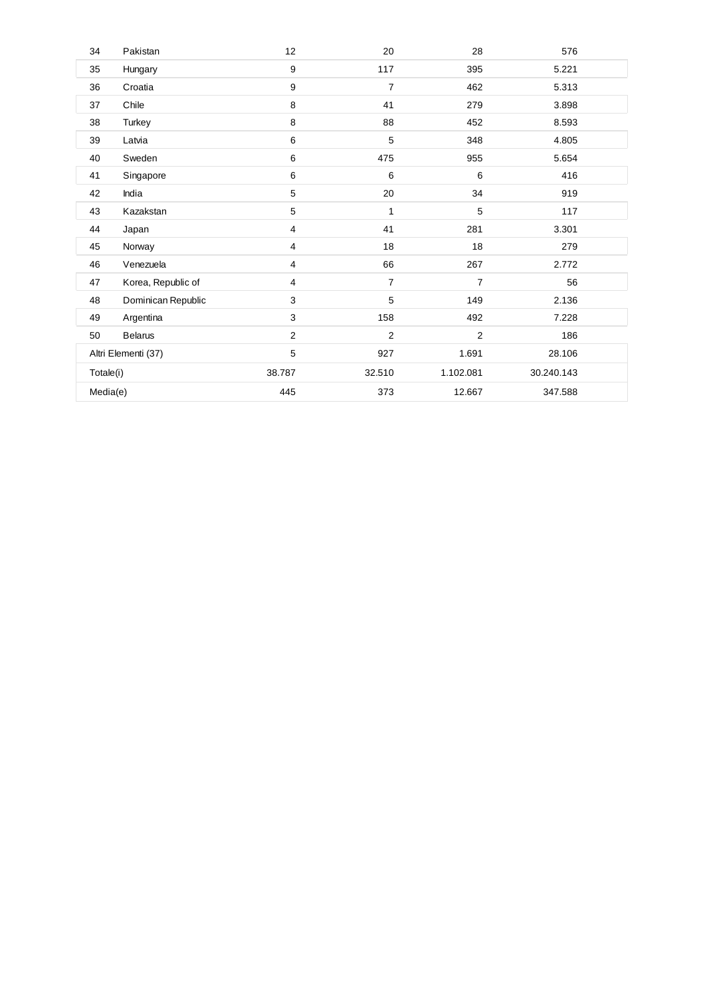| 34       | Pakistan            | 12  | 20             | 28             | 576        |
|----------|---------------------|-----|----------------|----------------|------------|
| 35       | Hungary             | 9   | 117            | 395            | 5.221      |
| 36       | Croatia             | 9   | $\overline{7}$ | 462            | 5.313      |
| 37       | Chile               | 8   | 41             | 279            | 3.898      |
| 38       | Turkey              | 8   | 88             | 452            | 8.593      |
| 39       | Latvia              | 6   | 5              | 348            | 4.805      |
| 40       | Sweden              | 6   | 475            | 955            | 5.654      |
| 41       | Singapore           | 6   | 6              | 6              | 416        |
| 42       | India               | 5   | 20             | 34             | 919        |
| 43       | Kazakstan           | 5   | 1              | 5              | 117        |
| 44       | Japan               | 4   | 41             | 281            | 3.301      |
| 45       | Norway              | 4   | 18             | 18             | 279        |
| 46       | Venezuela           | 4   | 66             | 267            | 2.772      |
| 47       | Korea, Republic of  | 4   | $\overline{7}$ | $\overline{7}$ | 56         |
| 48       | Dominican Republic  | 3   | 5              | 149            | 2.136      |
| 49       | Argentina           | 3   | 158            | 492            | 7.228      |
| 50       | <b>Belarus</b>      | 2   | 2              | $\overline{2}$ | 186        |
|          | Altri Elementi (37) | 5   | 927            | 1.691          | 28.106     |
|          | Totale(i)           |     | 32.510         | 1.102.081      | 30.240.143 |
| Media(e) |                     | 445 | 373            | 12.667         | 347.588    |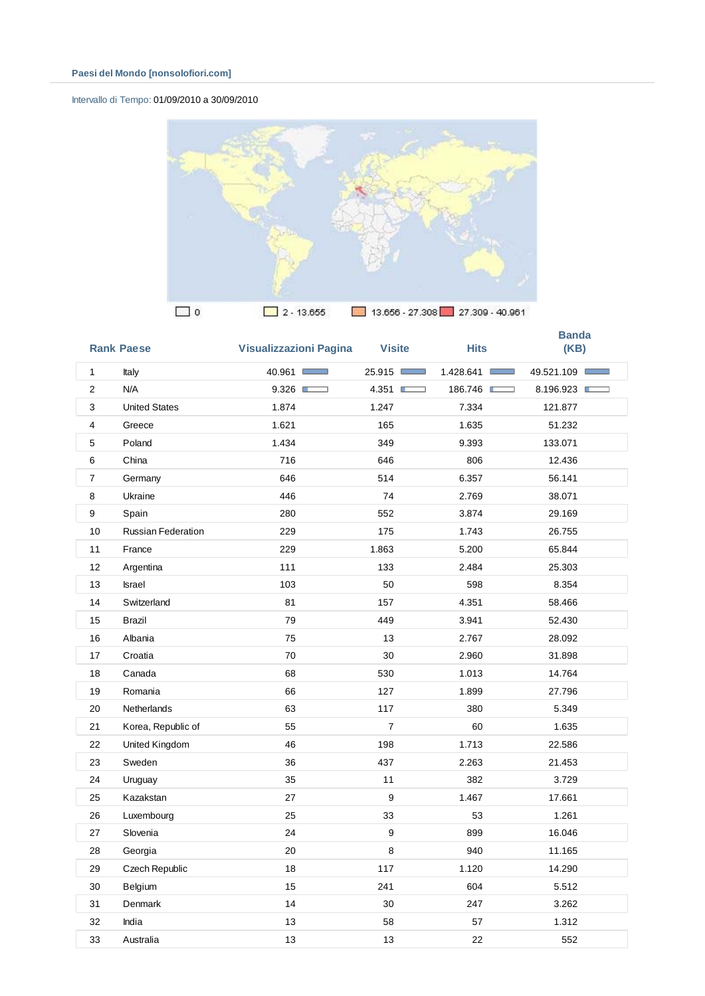# Intervallo di Tempo: 01/09/2010 a 30/09/2010



|                | <b>Rank Paese</b>         | <b>Visualizzazioni Pagina</b> | <b>Visite</b>  | <b>Hits</b> | <b>Banda</b><br>(KB) |
|----------------|---------------------------|-------------------------------|----------------|-------------|----------------------|
| $\mathbf{1}$   | Italy                     | 40.961                        | 25.915         | 1.428.641   | 49.521.109           |
| $\overline{2}$ | N/A                       | 9.326                         | 4.351          | 186.746     | 8.196.923            |
| 3              | <b>United States</b>      | 1.874                         | 1.247          | 7.334       | 121.877              |
| $\overline{4}$ | Greece                    | 1.621                         | 165            | 1.635       | 51.232               |
| 5              | Poland                    | 1.434                         | 349            | 9.393       | 133.071              |
| 6              | China                     | 716                           | 646            | 806         | 12.436               |
| $\overline{7}$ | Germany                   | 646                           | 514            | 6.357       | 56.141               |
| 8              | Ukraine                   | 446                           | 74             | 2.769       | 38.071               |
| 9              | Spain                     | 280                           | 552            | 3.874       | 29.169               |
| 10             | <b>Russian Federation</b> | 229                           | 175            | 1.743       | 26.755               |
| 11             | France                    | 229                           | 1.863          | 5.200       | 65.844               |
| 12             | Argentina                 | 111                           | 133            | 2.484       | 25.303               |
| 13             | Israel                    | 103                           | 50             | 598         | 8.354                |
| 14             | Switzerland               | 81                            | 157            | 4.351       | 58.466               |
| 15             | Brazil                    | 79                            | 449            | 3.941       | 52.430               |
| 16             | Albania                   | 75                            | 13             | 2.767       | 28.092               |
| 17             | Croatia                   | 70                            | 30             | 2.960       | 31.898               |
| 18             | Canada                    | 68                            | 530            | 1.013       | 14.764               |
| 19             | Romania                   | 66                            | 127            | 1.899       | 27.796               |
| 20             | Netherlands               | 63                            | 117            | 380         | 5.349                |
| 21             | Korea, Republic of        | 55                            | $\overline{7}$ | 60          | 1.635                |
| 22             | United Kingdom            | 46                            | 198            | 1.713       | 22.586               |
| 23             | Sweden                    | 36                            | 437            | 2.263       | 21.453               |
| 24             | Uruguay                   | 35                            | 11             | 382         | 3.729                |
| 25             | Kazakstan                 | 27                            | 9              | 1.467       | 17.661               |
| 26             | Luxembourg                | 25                            | 33             | 53          | 1.261                |
| 27             | Slovenia                  | 24                            | 9              | 899         | 16.046               |
| 28             | Georgia                   | 20                            | 8              | 940         | 11.165               |
| 29             | Czech Republic            | 18                            | 117            | 1.120       | 14.290               |
| 30             | Belgium                   | 15                            | 241            | 604         | 5.512                |
| 31             | Denmark                   | 14                            | 30             | 247         | 3.262                |
| 32             | India                     | 13                            | 58             | 57          | 1.312                |
| 33             | Australia                 | 13                            | 13             | 22          | 552                  |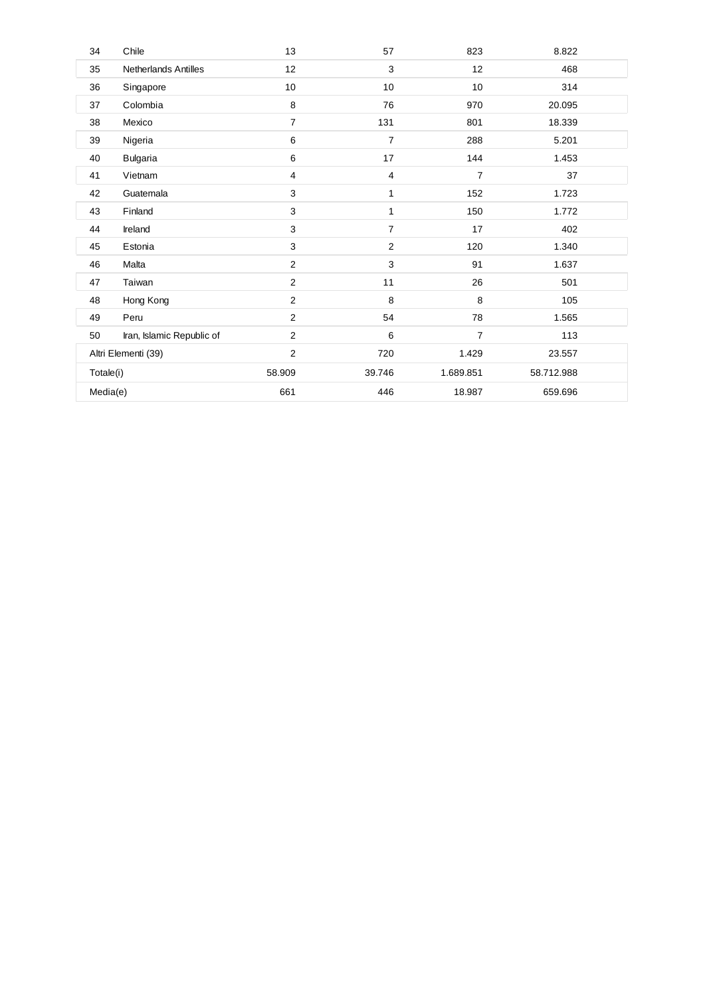| 34        | Chile                       | 13             | 57             | 823            | 8.822      |
|-----------|-----------------------------|----------------|----------------|----------------|------------|
| 35        | <b>Netherlands Antilles</b> | 12             | 3              | 12             | 468        |
| 36        | Singapore                   | 10             | 10             | 10             | 314        |
| 37        | Colombia                    | 8              | 76             | 970            | 20.095     |
| 38        | Mexico                      | $\overline{7}$ | 131            | 801            | 18.339     |
| 39        | Nigeria                     | 6              | $\overline{7}$ | 288            | 5.201      |
| 40        | <b>Bulgaria</b>             | 6              | 17             | 144            | 1.453      |
| 41        | Vietnam                     | 4              | 4              | $\overline{7}$ | 37         |
| 42        | Guatemala                   | 3              | 1              | 152            | 1.723      |
| 43        | Finland                     | 3              | 1              | 150            | 1.772      |
| 44        | Ireland                     | 3              | $\overline{7}$ | 17             | 402        |
| 45        | Estonia                     | 3              | $\mathbf{2}$   | 120            | 1.340      |
| 46        | Malta                       | $\mathbf{2}$   | 3              | 91             | 1.637      |
| 47        | Taiwan                      | $\mathbf{2}$   | 11             | 26             | 501        |
| 48        | Hong Kong                   | 2              | 8              | 8              | 105        |
| 49        | Peru                        | $\overline{2}$ | 54             | 78             | 1.565      |
| 50        | Iran, Islamic Republic of   | $\overline{2}$ | 6              | $\overline{7}$ | 113        |
|           | Altri Elementi (39)         | $\overline{2}$ | 720            | 1.429          | 23.557     |
| Totale(i) |                             | 58.909         | 39.746         | 1.689.851      | 58.712.988 |
| Media(e)  |                             | 661            | 446            | 18.987         | 659.696    |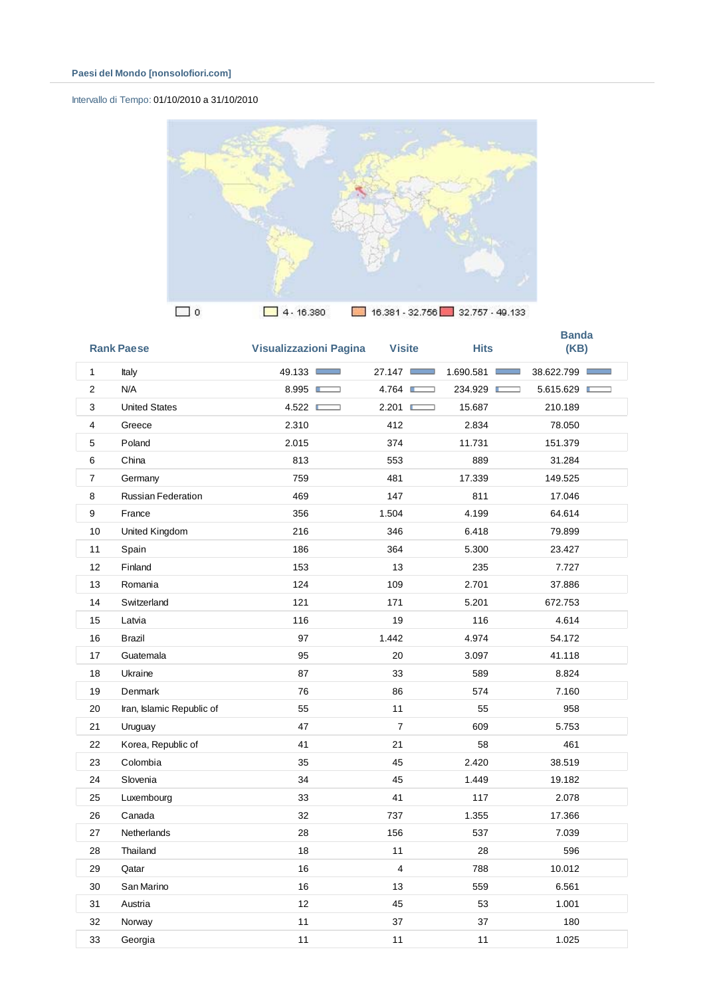# Intervallo di Tempo: 01/10/2010 a 31/10/2010



|                | <b>Rank Paese</b>         | <b>Visualizzazioni Pagina</b> | <b>Visite</b>  | <b>Hits</b> | <b>Banda</b><br>(KB) |
|----------------|---------------------------|-------------------------------|----------------|-------------|----------------------|
| 1              | Italy                     | 49.133                        | 27.147         | 1.690.581   | 38.622.799           |
| $\overline{2}$ | N/A                       | 8.995                         | 4.764          | 234.929     | 5.615.629            |
| 3              | <b>United States</b>      | 4.522                         | 2.201          | 15.687      | 210.189              |
| $\overline{4}$ | Greece                    | 2.310                         | 412            | 2.834       | 78.050               |
| 5              | Poland                    | 2.015                         | 374            | 11.731      | 151.379              |
| 6              | China                     | 813                           | 553            | 889         | 31.284               |
| $\overline{7}$ | Germany                   | 759                           | 481            | 17.339      | 149.525              |
| 8              | <b>Russian Federation</b> | 469                           | 147            | 811         | 17.046               |
| 9              | France                    | 356                           | 1.504          | 4.199       | 64.614               |
| 10             | United Kingdom            | 216                           | 346            | 6.418       | 79.899               |
| 11             | Spain                     | 186                           | 364            | 5.300       | 23.427               |
| 12             | Finland                   | 153                           | 13             | 235         | 7.727                |
| 13             | Romania                   | 124                           | 109            | 2.701       | 37.886               |
| 14             | Switzerland               | 121                           | 171            | 5.201       | 672.753              |
| 15             | Latvia                    | 116                           | 19             | 116         | 4.614                |
| 16             | <b>Brazil</b>             | 97                            | 1.442          | 4.974       | 54.172               |
| 17             | Guatemala                 | 95                            | 20             | 3.097       | 41.118               |
| 18             | Ukraine                   | 87                            | 33             | 589         | 8.824                |
| 19             | <b>Denmark</b>            | 76                            | 86             | 574         | 7.160                |
| 20             | Iran, Islamic Republic of | 55                            | 11             | 55          | 958                  |
| 21             | Uruguay                   | 47                            | $\overline{7}$ | 609         | 5.753                |
| 22             | Korea, Republic of        | 41                            | 21             | 58          | 461                  |
| 23             | Colombia                  | 35                            | 45             | 2.420       | 38.519               |
| 24             | Slovenia                  | 34                            | 45             | 1.449       | 19.182               |
| 25             | Luxembourg                | 33                            | 41             | 117         | 2.078                |
| 26             | Canada                    | 32                            | 737            | 1.355       | 17.366               |
| 27             | Netherlands               | 28                            | 156            | 537         | 7.039                |
| 28             | Thailand                  | 18                            | 11             | 28          | 596                  |
| 29             | Qatar                     | 16                            | 4              | 788         | 10.012               |
| 30             | San Marino                | 16                            | 13             | 559         | 6.561                |
| 31             | Austria                   | 12                            | 45             | 53          | 1.001                |
| 32             | Norway                    | 11                            | 37             | 37          | 180                  |
| 33             | Georgia                   | 11                            | 11             | 11          | 1.025                |